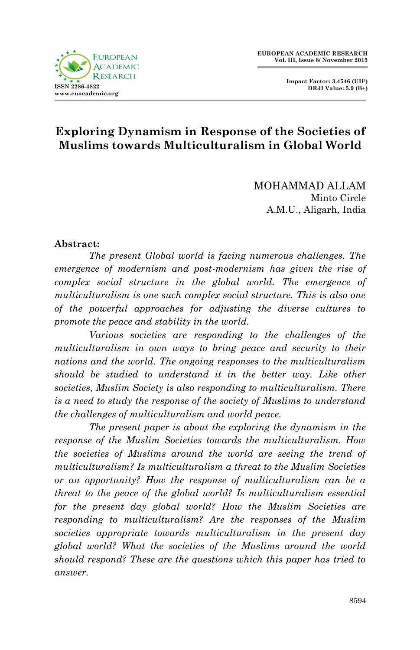**Impact Factor: 3.4546 (UIF) DRJI Value: 5.9 (B+)**



# **Exploring Dynamism in Response of the Societies of Muslims towards Multiculturalism in Global World**

MOHAMMAD ALLAM Minto Circle A.M.U., Aligarh, India

#### **Abstract:**

*The present Global world is facing numerous challenges. The emergence of modernism and post-modernism has given the rise of complex social structure in the global world. The emergence of multiculturalism is one such complex social structure. This is also one of the powerful approaches for adjusting the diverse cultures to promote the peace and stability in the world.*

*Various societies are responding to the challenges of the multiculturalism in own ways to bring peace and security to their nations and the world. The ongoing responses to the multiculturalism should be studied to understand it in the better way. Like other societies, Muslim Society is also responding to multiculturalism. There is a need to study the response of the society of Muslims to understand the challenges of multiculturalism and world peace.*

*The present paper is about the exploring the dynamism in the response of the Muslim Societies towards the multiculturalism. How the societies of Muslims around the world are seeing the trend of multiculturalism? Is multiculturalism a threat to the Muslim Societies or an opportunity? How the response of multiculturalism can be a threat to the peace of the global world? Is multiculturalism essential for the present day global world? How the Muslim Societies are responding to multiculturalism? Are the responses of the Muslim societies appropriate towards multiculturalism in the present day global world? What the societies of the Muslims around the world should respond? These are the questions which this paper has tried to answer.*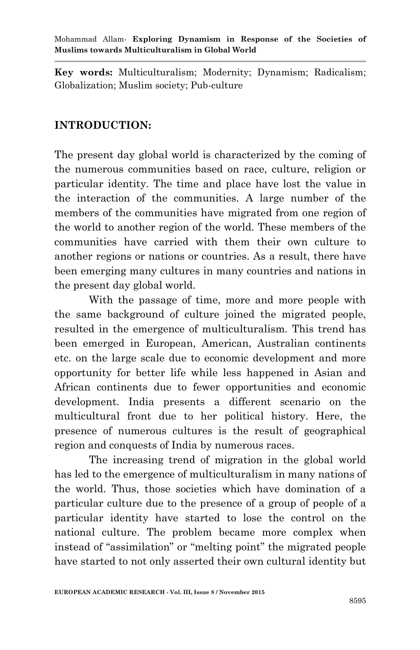**Key words:** Multiculturalism; Modernity; Dynamism; Radicalism; Globalization; Muslim society; Pub-culture

#### **INTRODUCTION:**

The present day global world is characterized by the coming of the numerous communities based on race, culture, religion or particular identity. The time and place have lost the value in the interaction of the communities. A large number of the members of the communities have migrated from one region of the world to another region of the world. These members of the communities have carried with them their own culture to another regions or nations or countries. As a result, there have been emerging many cultures in many countries and nations in the present day global world.

With the passage of time, more and more people with the same background of culture joined the migrated people, resulted in the emergence of multiculturalism. This trend has been emerged in European, American, Australian continents etc. on the large scale due to economic development and more opportunity for better life while less happened in Asian and African continents due to fewer opportunities and economic development. India presents a different scenario on the multicultural front due to her political history. Here, the presence of numerous cultures is the result of geographical region and conquests of India by numerous races.

The increasing trend of migration in the global world has led to the emergence of multiculturalism in many nations of the world. Thus, those societies which have domination of a particular culture due to the presence of a group of people of a particular identity have started to lose the control on the national culture. The problem became more complex when instead of "assimilation" or "melting point" the migrated people have started to not only asserted their own cultural identity but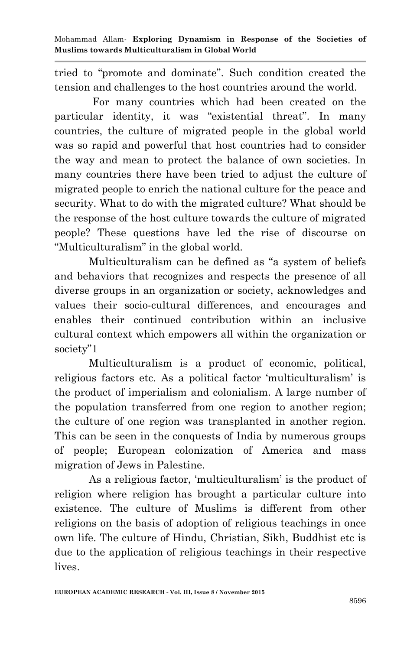tried to "promote and dominate". Such condition created the tension and challenges to the host countries around the world.

 For many countries which had been created on the particular identity, it was "existential threat". In many countries, the culture of migrated people in the global world was so rapid and powerful that host countries had to consider the way and mean to protect the balance of own societies. In many countries there have been tried to adjust the culture of migrated people to enrich the national culture for the peace and security. What to do with the migrated culture? What should be the response of the host culture towards the culture of migrated people? These questions have led the rise of discourse on "Multiculturalism" in the global world.

Multiculturalism can be defined as "a system of beliefs and behaviors that recognizes and respects the presence of all diverse groups in an organization or society, acknowledges and values their socio-cultural differences, and encourages and enables their continued contribution within an inclusive cultural context which empowers all within the organization or society"1

Multiculturalism is a product of economic, political, religious factors etc. As a political factor "multiculturalism" is the product of imperialism and colonialism. A large number of the population transferred from one region to another region; the culture of one region was transplanted in another region. This can be seen in the conquests of India by numerous groups of people; European colonization of America and mass migration of Jews in Palestine.

As a religious factor, "multiculturalism" is the product of religion where religion has brought a particular culture into existence. The culture of Muslims is different from other religions on the basis of adoption of religious teachings in once own life. The culture of Hindu, Christian, Sikh, Buddhist etc is due to the application of religious teachings in their respective lives.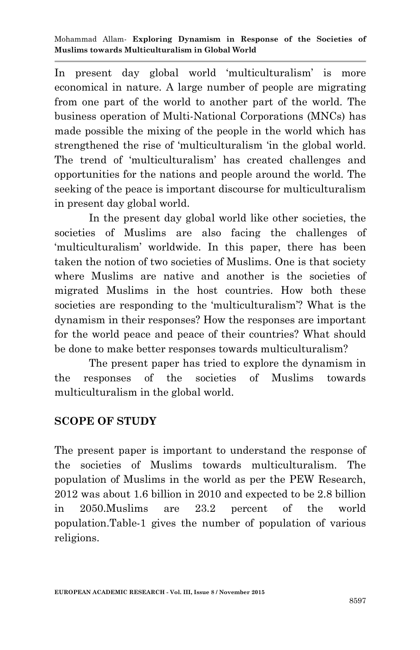In present day global world "multiculturalism" is more economical in nature. A large number of people are migrating from one part of the world to another part of the world. The business operation of Multi-National Corporations (MNCs) has made possible the mixing of the people in the world which has strengthened the rise of "multiculturalism "in the global world. The trend of "multiculturalism" has created challenges and opportunities for the nations and people around the world. The seeking of the peace is important discourse for multiculturalism in present day global world.

In the present day global world like other societies, the societies of Muslims are also facing the challenges of 'multiculturalism' worldwide. In this paper, there has been taken the notion of two societies of Muslims. One is that society where Muslims are native and another is the societies of migrated Muslims in the host countries. How both these societies are responding to the "multiculturalism"? What is the dynamism in their responses? How the responses are important for the world peace and peace of their countries? What should be done to make better responses towards multiculturalism?

The present paper has tried to explore the dynamism in the responses of the societies of Muslims towards multiculturalism in the global world.

## **SCOPE OF STUDY**

The present paper is important to understand the response of the societies of Muslims towards multiculturalism. The population of Muslims in the world as per the PEW Research, 2012 was about 1.6 billion in 2010 and expected to be 2.8 billion in 2050.Muslims are 23.2 percent of the world population.Table-1 gives the number of population of various religions.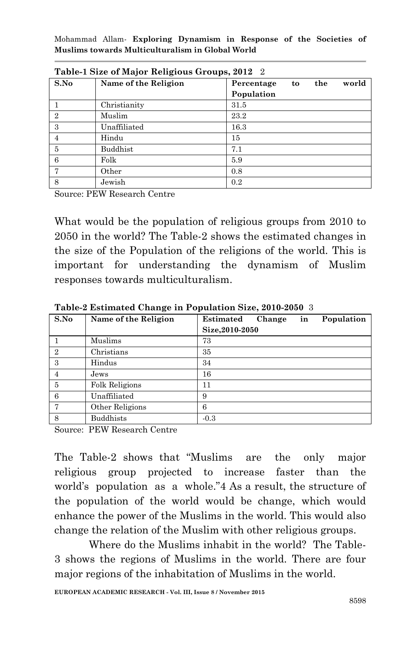|                | $1$ abit-1 bize of major neighbas droups, 2012 $\pm$ |                         |       |
|----------------|------------------------------------------------------|-------------------------|-------|
| S.No           | Name of the Religion                                 | the<br>Percentage<br>to | world |
|                |                                                      | Population              |       |
|                | Christianity                                         | 31.5                    |       |
| $\overline{2}$ | Muslim                                               | 23.2                    |       |
| 3              | Unaffiliated                                         | 16.3                    |       |
| 4              | Hindu                                                | 15                      |       |
| 5              | Buddhist                                             | 7.1                     |       |
| 6              | Folk                                                 | 5.9                     |       |
| 7              | Other                                                | 0.8                     |       |
| 8              | Jewish                                               | 0.2                     |       |

**Table-1 Size of Major Religious Groups, 2012** 2

Source: PEW Research Centre

What would be the population of religious groups from 2010 to 2050 in the world? The Table-2 shows the estimated changes in the size of the Population of the religions of the world. This is important for understanding the dynamism of Muslim responses towards multiculturalism.

| S.No           | Name of the Religion  | Population<br><b>Estimated</b><br>Change<br>in |
|----------------|-----------------------|------------------------------------------------|
|                |                       | Size, 2010-2050                                |
|                | Muslims               | 73                                             |
| $\overline{2}$ | Christians            | 35                                             |
| 3              | Hindus                | 34                                             |
| $\overline{4}$ | Jews                  | 16                                             |
| 5              | <b>Folk Religions</b> | 11                                             |
| 6              | Unaffiliated          | 9                                              |
| $\overline{7}$ | Other Religions       | 6                                              |
| 8              | <b>Buddhists</b>      | $-0.3$                                         |

**Table-2 Estimated Change in Population Size, 2010-2050** 3

Source: PEW Research Centre

The Table-2 shows that "Muslims are the only major religious group projected to increase faster than the world"s population as a whole."4 As a result, the structure of the population of the world would be change, which would enhance the power of the Muslims in the world. This would also change the relation of the Muslim with other religious groups.

Where do the Muslims inhabit in the world? The Table-3 shows the regions of Muslims in the world. There are four major regions of the inhabitation of Muslims in the world.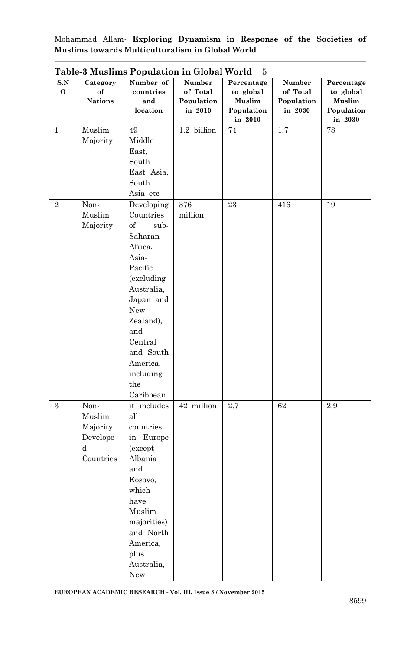| S.N          |                | Table o mashing I opalation in Global World | Number      | Percentage |                    |                         |
|--------------|----------------|---------------------------------------------|-------------|------------|--------------------|-------------------------|
| 0            | Category<br>of | Number of<br>countries                      | of Total    | to global  | Number<br>of Total | Percentage<br>to global |
|              | <b>Nations</b> | and                                         | Population  | Muslim     | Population         | Muslim                  |
|              |                | location                                    | in 2010     | Population | in 2030            | Population              |
|              |                |                                             |             | in 2010    |                    | in 2030                 |
| $\mathbf{1}$ | Muslim         | 49                                          | 1.2 billion | $74\,$     | 1.7                | 78                      |
|              | Majority       | Middle                                      |             |            |                    |                         |
|              |                | East,                                       |             |            |                    |                         |
|              |                | South                                       |             |            |                    |                         |
|              |                | East Asia,                                  |             |            |                    |                         |
|              |                | South                                       |             |            |                    |                         |
|              |                |                                             |             |            |                    |                         |
|              |                | Asia etc                                    |             |            |                    |                         |
| 2            | Non-           | Developing                                  | 376         | 23         | 416                | 19                      |
|              | Muslim         | Countries                                   | million     |            |                    |                         |
|              | Majority       | of<br>sub-                                  |             |            |                    |                         |
|              |                | Saharan                                     |             |            |                    |                         |
|              |                | Africa,                                     |             |            |                    |                         |
|              |                | Asia-                                       |             |            |                    |                         |
|              |                | Pacific                                     |             |            |                    |                         |
|              |                | (excluding                                  |             |            |                    |                         |
|              |                | Australia,                                  |             |            |                    |                         |
|              |                | Japan and                                   |             |            |                    |                         |
|              |                | New                                         |             |            |                    |                         |
|              |                | Zealand),                                   |             |            |                    |                         |
|              |                | and                                         |             |            |                    |                         |
|              |                | Central                                     |             |            |                    |                         |
|              |                | and South                                   |             |            |                    |                         |
|              |                | America,                                    |             |            |                    |                         |
|              |                | including                                   |             |            |                    |                         |
|              |                | the                                         |             |            |                    |                         |
|              |                | Caribbean                                   |             |            |                    |                         |
| 3            | Non-           | it includes                                 | 42 million  | $2.7\,$    | 62                 | 2.9                     |
|              | Muslim         | all                                         |             |            |                    |                         |
|              | Majority       | countries                                   |             |            |                    |                         |
|              | Develope       | in Europe                                   |             |            |                    |                         |
|              | d              | (except                                     |             |            |                    |                         |
|              | Countries      | Albania                                     |             |            |                    |                         |
|              |                | and                                         |             |            |                    |                         |
|              |                | Kosovo,                                     |             |            |                    |                         |
|              |                | which                                       |             |            |                    |                         |
|              |                | have                                        |             |            |                    |                         |
|              |                | Muslim                                      |             |            |                    |                         |
|              |                | majorities)                                 |             |            |                    |                         |
|              |                | and North                                   |             |            |                    |                         |
|              |                | America,                                    |             |            |                    |                         |
|              |                |                                             |             |            |                    |                         |
|              |                | plus                                        |             |            |                    |                         |
|              |                | Australia,                                  |             |            |                    |                         |
|              |                | New                                         |             |            |                    |                         |

**Table-3 Muslims Population in Global World** 5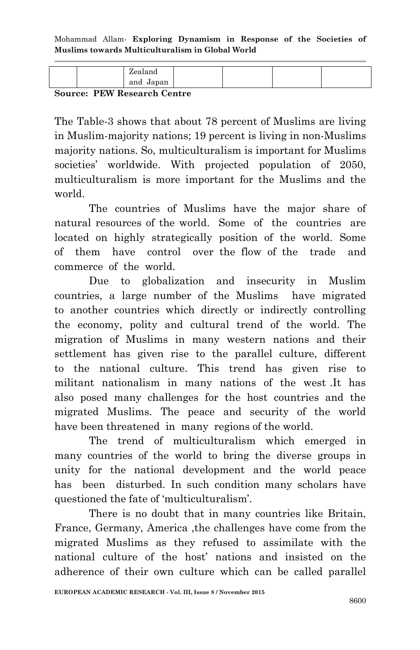|  | and Japan |  |  |
|--|-----------|--|--|
|  |           |  |  |

**Source: PEW Research Centre**

The Table-3 shows that about 78 percent of Muslims are living in Muslim-majority nations; 19 percent is living in non-Muslims majority nations. So, multiculturalism is important for Muslims societies' worldwide. With projected population of 2050, multiculturalism is more important for the Muslims and the world.

The countries of Muslims have the major share of natural resources of the world. Some of the countries are located on highly strategically position of the world. Some of them have control over the flow of the trade and commerce of the world.

Due to globalization and insecurity in Muslim countries, a large number of the Muslims have migrated to another countries which directly or indirectly controlling the economy, polity and cultural trend of the world. The migration of Muslims in many western nations and their settlement has given rise to the parallel culture, different to the national culture. This trend has given rise to militant nationalism in many nations of the west .It has also posed many challenges for the host countries and the migrated Muslims. The peace and security of the world have been threatened in many regions of the world.

The trend of multiculturalism which emerged in many countries of the world to bring the diverse groups in unity for the national development and the world peace has been disturbed. In such condition many scholars have questioned the fate of 'multiculturalism'.

There is no doubt that in many countries like Britain, France, Germany, America ,the challenges have come from the migrated Muslims as they refused to assimilate with the national culture of the host" nations and insisted on the adherence of their own culture which can be called parallel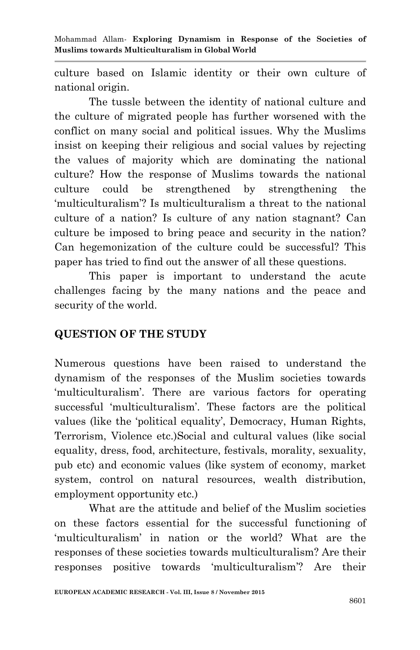culture based on Islamic identity or their own culture of national origin.

The tussle between the identity of national culture and the culture of migrated people has further worsened with the conflict on many social and political issues. Why the Muslims insist on keeping their religious and social values by rejecting the values of majority which are dominating the national culture? How the response of Muslims towards the national culture could be strengthened by strengthening the "multiculturalism"? Is multiculturalism a threat to the national culture of a nation? Is culture of any nation stagnant? Can culture be imposed to bring peace and security in the nation? Can hegemonization of the culture could be successful? This paper has tried to find out the answer of all these questions.

This paper is important to understand the acute challenges facing by the many nations and the peace and security of the world.

## **QUESTION OF THE STUDY**

Numerous questions have been raised to understand the dynamism of the responses of the Muslim societies towards 'multiculturalism'. There are various factors for operating successful "multiculturalism". These factors are the political values (like the "political equality", Democracy, Human Rights, Terrorism, Violence etc.)Social and cultural values (like social equality, dress, food, architecture, festivals, morality, sexuality, pub etc) and economic values (like system of economy, market system, control on natural resources, wealth distribution, employment opportunity etc.)

What are the attitude and belief of the Muslim societies on these factors essential for the successful functioning of "multiculturalism" in nation or the world? What are the responses of these societies towards multiculturalism? Are their responses positive towards "multiculturalism"? Are their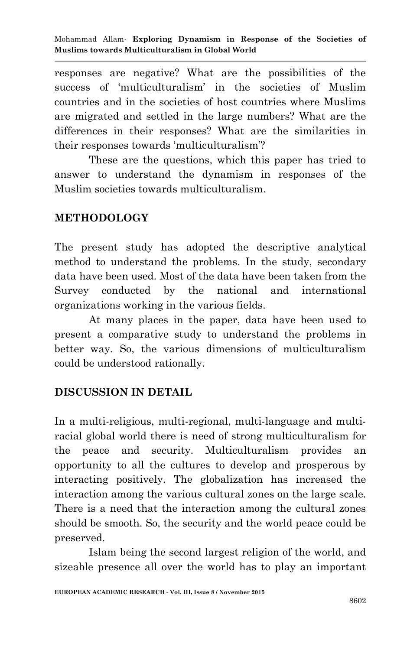responses are negative? What are the possibilities of the success of "multiculturalism" in the societies of Muslim countries and in the societies of host countries where Muslims are migrated and settled in the large numbers? What are the differences in their responses? What are the similarities in their responses towards 'multiculturalism'?

These are the questions, which this paper has tried to answer to understand the dynamism in responses of the Muslim societies towards multiculturalism.

#### **METHODOLOGY**

The present study has adopted the descriptive analytical method to understand the problems. In the study, secondary data have been used. Most of the data have been taken from the Survey conducted by the national and international organizations working in the various fields.

At many places in the paper, data have been used to present a comparative study to understand the problems in better way. So, the various dimensions of multiculturalism could be understood rationally.

## **DISCUSSION IN DETAIL**

In a multi-religious, multi-regional, multi-language and multiracial global world there is need of strong multiculturalism for the peace and security. Multiculturalism provides an opportunity to all the cultures to develop and prosperous by interacting positively. The globalization has increased the interaction among the various cultural zones on the large scale. There is a need that the interaction among the cultural zones should be smooth. So, the security and the world peace could be preserved.

Islam being the second largest religion of the world, and sizeable presence all over the world has to play an important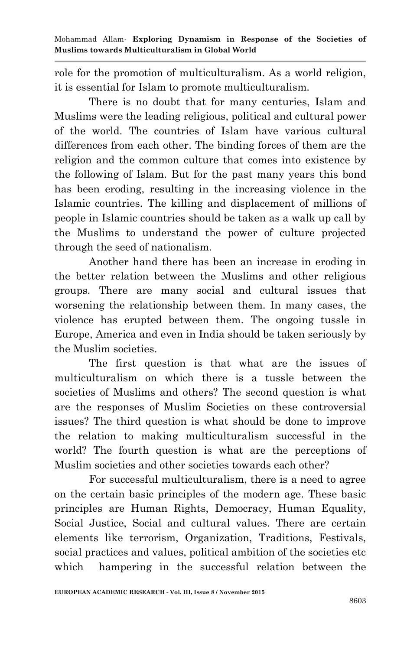role for the promotion of multiculturalism. As a world religion, it is essential for Islam to promote multiculturalism.

There is no doubt that for many centuries, Islam and Muslims were the leading religious, political and cultural power of the world. The countries of Islam have various cultural differences from each other. The binding forces of them are the religion and the common culture that comes into existence by the following of Islam. But for the past many years this bond has been eroding, resulting in the increasing violence in the Islamic countries. The killing and displacement of millions of people in Islamic countries should be taken as a walk up call by the Muslims to understand the power of culture projected through the seed of nationalism.

Another hand there has been an increase in eroding in the better relation between the Muslims and other religious groups. There are many social and cultural issues that worsening the relationship between them. In many cases, the violence has erupted between them. The ongoing tussle in Europe, America and even in India should be taken seriously by the Muslim societies.

The first question is that what are the issues of multiculturalism on which there is a tussle between the societies of Muslims and others? The second question is what are the responses of Muslim Societies on these controversial issues? The third question is what should be done to improve the relation to making multiculturalism successful in the world? The fourth question is what are the perceptions of Muslim societies and other societies towards each other?

For successful multiculturalism, there is a need to agree on the certain basic principles of the modern age. These basic principles are Human Rights, Democracy, Human Equality, Social Justice, Social and cultural values. There are certain elements like terrorism, Organization, Traditions, Festivals, social practices and values, political ambition of the societies etc which hampering in the successful relation between the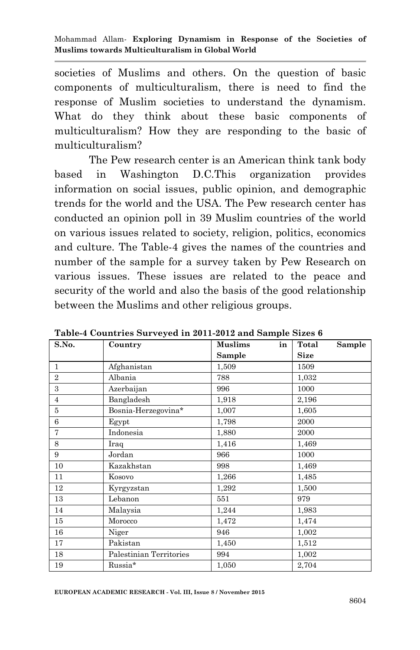societies of Muslims and others. On the question of basic components of multiculturalism, there is need to find the response of Muslim societies to understand the dynamism. What do they think about these basic components of multiculturalism? How they are responding to the basic of multiculturalism?

The Pew research center is an American think tank body based in Washington D.C.This organization provides information on social issues, public opinion, and demographic trends for the world and the USA. The Pew research center has conducted an opinion poll in 39 Muslim countries of the world on various issues related to society, religion, politics, economics and culture. The Table-4 gives the names of the countries and number of the sample for a survey taken by Pew Research on various issues. These issues are related to the peace and security of the world and also the basis of the good relationship between the Muslims and other religious groups.

| S.No.          | Country                 | in<br><b>Muslims</b> | Total<br>Sample |
|----------------|-------------------------|----------------------|-----------------|
|                |                         | <b>Sample</b>        | <b>Size</b>     |
| $\mathbf{1}$   | Afghanistan             | 1,509                | 1509            |
| $\overline{2}$ | Albania                 | 788                  | 1,032           |
| 3              | Azerbaijan              | 996                  | 1000            |
| $\overline{4}$ | Bangladesh              | 1,918                | 2,196           |
| 5              | Bosnia-Herzegovina*     | 1,007                | 1,605           |
| 6              | Egypt                   | 1,798                | 2000            |
| 7              | Indonesia               | 1,880                | 2000            |
| 8              | Iraq                    | 1,416                | 1,469           |
| 9              | Jordan                  | 966                  | 1000            |
| 10             | Kazakhstan              | 998                  | 1,469           |
| 11             | Kosovo                  | 1,266                | 1,485           |
| 12             | Kyrgyzstan              | 1,292                | 1,500           |
| 13             | Lebanon                 | 551                  | 979             |
| 14             | Malaysia                | 1,244                | 1,983           |
| 15             | Morocco                 | 1,472                | 1,474           |
| 16             | Niger                   | 946                  | 1,002           |
| 17             | Pakistan                | 1,450                | 1,512           |
| 18             | Palestinian Territories | 994                  | 1,002           |
| 19             | Russia*                 | 1,050                | 2,704           |

**Table-4 Countries Surveyed in 2011-2012 and Sample Sizes 6**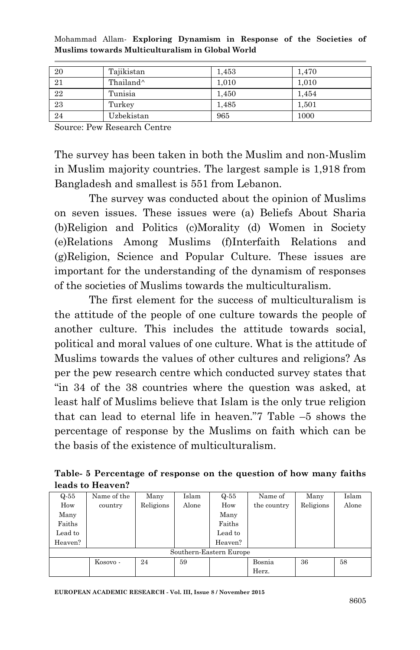| -20             | Tajikistan            | 1,453 | 1.470 |
|-----------------|-----------------------|-------|-------|
| 21              | Thailand <sup>^</sup> | 1,010 | 1,010 |
| $22\,$          | Tunisia               | 1,450 | 1.454 |
| $\overline{23}$ | Turkey                | 1.485 | 1.501 |
| 24              | Uzbekistan            | 965   | 1000  |

Source: Pew Research Centre

The survey has been taken in both the Muslim and non-Muslim in Muslim majority countries. The largest sample is 1,918 from Bangladesh and smallest is 551 from Lebanon.

The survey was conducted about the opinion of Muslims on seven issues. These issues were (a) Beliefs About Sharia (b)Religion and Politics (c)Morality (d) Women in Society (e)Relations Among Muslims (f)Interfaith Relations and (g)Religion, Science and Popular Culture. These issues are important for the understanding of the dynamism of responses of the societies of Muslims towards the multiculturalism.

The first element for the success of multiculturalism is the attitude of the people of one culture towards the people of another culture. This includes the attitude towards social, political and moral values of one culture. What is the attitude of Muslims towards the values of other cultures and religions? As per the pew research centre which conducted survey states that "in 34 of the 38 countries where the question was asked, at least half of Muslims believe that Islam is the only true religion that can lead to eternal life in heaven."7 Table –5 shows the percentage of response by the Muslims on faith which can be the basis of the existence of multiculturalism.

| Table-5 Percentage of response on the question of how many faiths |  |  |  |
|-------------------------------------------------------------------|--|--|--|
| leads to Heaven?                                                  |  |  |  |

| $Q-55$  | Name of the | Many      | Islam | $Q-55$                  | Name of     | Many      | Islam |
|---------|-------------|-----------|-------|-------------------------|-------------|-----------|-------|
| How     | country     | Religions | Alone | How                     | the country | Religions | Alone |
| Many    |             |           |       | Many                    |             |           |       |
| Faiths  |             |           |       | Faiths                  |             |           |       |
| Lead to |             |           |       | Lead to                 |             |           |       |
| Heaven? |             |           |       | Heaven?                 |             |           |       |
|         |             |           |       | Southern-Eastern Europe |             |           |       |
|         | Kosovo -    | 24        | 59    |                         | Bosnia      | 36        | 58    |
|         |             |           |       |                         | Herz.       |           |       |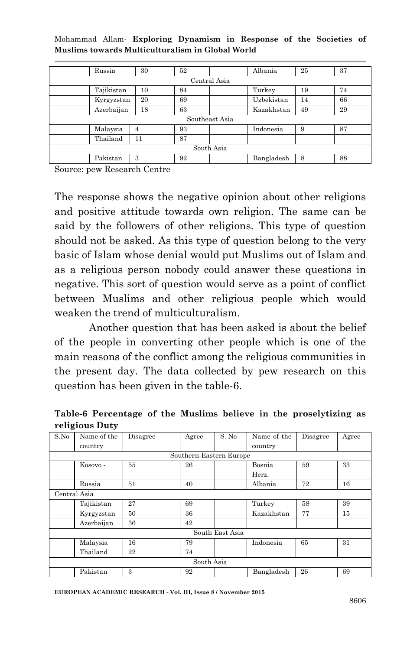| Russia       | 30 | 52 |                | Albania    | 25 | 37 |  |
|--------------|----|----|----------------|------------|----|----|--|
| Central Asia |    |    |                |            |    |    |  |
| Tajikistan   | 10 | 84 |                | Turkey     | 19 | 74 |  |
| Kyrgyzstan   | 20 | 69 |                | Uzbekistan | 14 | 66 |  |
| Azerbaijan   | 18 | 63 |                | Kazakhstan | 49 | 29 |  |
|              |    |    | Southeast Asia |            |    |    |  |
| Malaysia     | 4  | 93 |                | Indonesia  | 9  | 87 |  |
| Thailand     | 11 | 87 |                |            |    |    |  |
| South Asia   |    |    |                |            |    |    |  |
| Pakistan     | 3  | 92 |                | Bangladesh | 8  | 88 |  |

Mohammad Allam*-* **Exploring Dynamism in Response of the Societies of Muslims towards Multiculturalism in Global World**

Source: pew Research Centre

The response shows the negative opinion about other religions and positive attitude towards own religion. The same can be said by the followers of other religions. This type of question should not be asked. As this type of question belong to the very basic of Islam whose denial would put Muslims out of Islam and as a religious person nobody could answer these questions in negative. This sort of question would serve as a point of conflict between Muslims and other religious people which would weaken the trend of multiculturalism.

Another question that has been asked is about the belief of the people in converting other people which is one of the main reasons of the conflict among the religious communities in the present day. The data collected by pew research on this question has been given in the table-6.

S.No Name of the country Disagree Agree S. No Name of the country Disagree Agree Southern-Eastern Europe Kosovo - 55 26 Bosnia Herz. 59 33 Russia 51 40 Albania 72 16 Central Asia Tajikistan 27 69 Turkey 58 39 Kyrgyzstan 50 36 Kazakhstan 77 15 Azerbaijan 36 | 42 South East Asia Malaysia 16 79 Indonesia 65 31 Thailand 22 74 South Asia Pakistan 3 92 Bangladesh 26 69

**Table-6 Percentage of the Muslims believe in the proselytizing as religious Duty**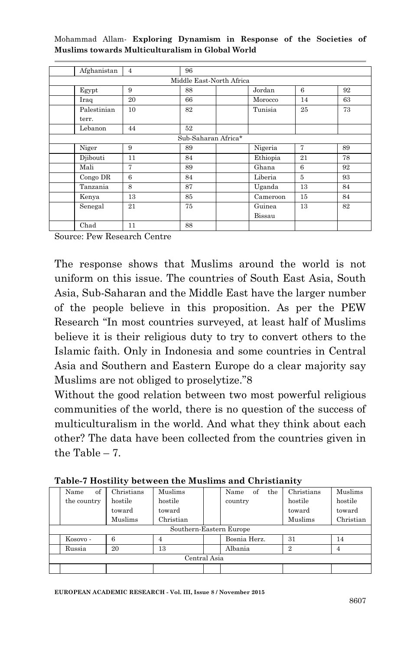|  | Mohammad Allam- Exploring Dynamism in Response of the Societies of |  |  |  |
|--|--------------------------------------------------------------------|--|--|--|
|  | Muslims towards Multiculturalism in Global World                   |  |  |  |

| Afghanistan | $\overline{4}$ | 96                       |          |                |    |
|-------------|----------------|--------------------------|----------|----------------|----|
|             |                | Middle East-North Africa |          |                |    |
| Egypt       | 9              | 88                       | Jordan   | 6              | 92 |
| Iraq        | 20             | 66                       | Morocco  | 14             | 63 |
| Palestinian | 10             | 82                       | Tunisia  | 25             | 73 |
| terr.       |                |                          |          |                |    |
| Lebanon     | 44             | 52                       |          |                |    |
|             |                | Sub-Saharan Africa*      |          |                |    |
| Niger       | 9              | 89                       | Nigeria  | 7              | 89 |
| Djibouti    | 11             | 84                       | Ethiopia | 21             | 78 |
| Mali        | $\overline{7}$ | 89                       | Ghana    | 6              | 92 |
| Congo DR    | 6              | 84                       | Liberia  | $\overline{5}$ | 93 |
| Tanzania    | 8              | 87                       | Uganda   | 13             | 84 |
| Kenya       | 13             | 85                       | Cameroon | 15             | 84 |
| Senegal     | 21             | 75                       | Guinea   | 13             | 82 |
|             |                |                          | Bissau   |                |    |
| Chad        | 11             | 88                       |          |                |    |

Source: Pew Research Centre

The response shows that Muslims around the world is not uniform on this issue. The countries of South East Asia, South Asia, Sub-Saharan and the Middle East have the larger number of the people believe in this proposition. As per the PEW Research "In most countries surveyed, at least half of Muslims believe it is their religious duty to try to convert others to the Islamic faith. Only in Indonesia and some countries in Central Asia and Southern and Eastern Europe do a clear majority say Muslims are not obliged to proselytize."8

Without the good relation between two most powerful religious communities of the world, there is no question of the success of multiculturalism in the world. And what they think about each other? The data have been collected from the countries given in the Table – 7.

|              | of<br>Name              | Christians | Muslims   |  | Name<br>of<br>the | Christians | Muslims   |  |
|--------------|-------------------------|------------|-----------|--|-------------------|------------|-----------|--|
|              | the country             | hostile    | hostile   |  | country           | hostile    | hostile   |  |
|              |                         | toward     | toward    |  |                   | toward     | toward    |  |
|              |                         | Muslims    | Christian |  |                   | Muslims    | Christian |  |
|              | Southern-Eastern Europe |            |           |  |                   |            |           |  |
|              | Kosovo -                | 6          |           |  | Bosnia Herz.      | 31         | 14        |  |
|              | Russia                  | 20         | 13        |  | Albania           | 2          | 4         |  |
| Central Asia |                         |            |           |  |                   |            |           |  |
|              |                         |            |           |  |                   |            |           |  |

**Table-7 Hostility between the Muslims and Christianity**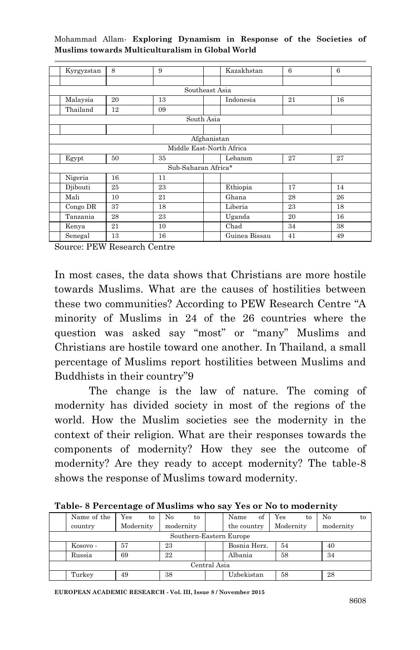| Kyrgyzstan               | 8  | 9                   | Kazakhstan |               | 6  | 6  |  |  |  |
|--------------------------|----|---------------------|------------|---------------|----|----|--|--|--|
|                          |    |                     |            |               |    |    |  |  |  |
| Southeast Asia           |    |                     |            |               |    |    |  |  |  |
| Malaysia                 | 20 | 13                  |            | Indonesia     | 21 | 16 |  |  |  |
| Thailand                 | 12 | 09                  |            |               |    |    |  |  |  |
| South Asia               |    |                     |            |               |    |    |  |  |  |
|                          |    |                     |            |               |    |    |  |  |  |
| Afghanistan              |    |                     |            |               |    |    |  |  |  |
| Middle East-North Africa |    |                     |            |               |    |    |  |  |  |
| Egypt                    | 50 | 35                  |            | Lebanon       | 27 | 27 |  |  |  |
|                          |    | Sub-Saharan Africa* |            |               |    |    |  |  |  |
| Nigeria                  | 16 | 11                  |            |               |    |    |  |  |  |
| Djibouti                 | 25 | 23                  |            | Ethiopia      | 17 | 14 |  |  |  |
| Mali                     | 10 | 21                  |            | Ghana         | 28 | 26 |  |  |  |
| Congo DR                 | 37 | 18                  |            | Liberia       | 23 | 18 |  |  |  |
| Tanzania                 | 28 | 23                  |            | Uganda        | 20 | 16 |  |  |  |
| Kenya                    | 21 | 10                  | Chad       |               | 34 | 38 |  |  |  |
| Senegal                  | 13 | 16                  |            | Guinea Bissau | 41 | 49 |  |  |  |

Source: PEW Research Centre

In most cases, the data shows that Christians are more hostile towards Muslims. What are the causes of hostilities between these two communities? According to PEW Research Centre "A minority of Muslims in 24 of the 26 countries where the question was asked say "most" or "many" Muslims and Christians are hostile toward one another. In Thailand, a small percentage of Muslims report hostilities between Muslims and Buddhists in their country"9

The change is the law of nature. The coming of modernity has divided society in most of the regions of the world. How the Muslim societies see the modernity in the context of their religion. What are their responses towards the components of modernity? How they see the outcome of modernity? Are they ready to accept modernity? The table-8 shows the response of Muslims toward modernity.

|              | Name of the | Yes<br>to | No<br>to                |  | Name<br>of   | Yes<br>to | Nο<br>to  |  |
|--------------|-------------|-----------|-------------------------|--|--------------|-----------|-----------|--|
|              | country     | Modernity | modernity               |  | the country  | Modernity | modernity |  |
|              |             |           | Southern-Eastern Europe |  |              |           |           |  |
|              | Kosovo -    | 57        | 23                      |  | Bosnia Herz. | 54        | 40        |  |
|              | Russia      | 69        | 22                      |  | Albania      | 58        | 34        |  |
| Central Asia |             |           |                         |  |              |           |           |  |
|              | Turkey      | 49        | 38                      |  | Uzbekistan   | 58        | 28        |  |

**Table- 8 Percentage of Muslims who say Yes or No to modernity**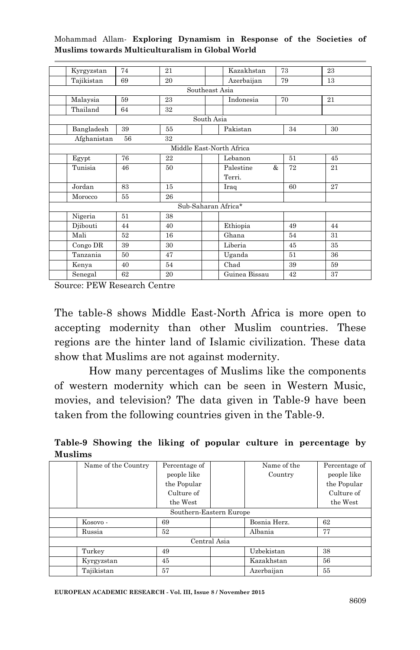| Kyrgyzstan     | 74 | 21                       |            | Kazakhstan     | 73 | 23 |  |  |
|----------------|----|--------------------------|------------|----------------|----|----|--|--|
| Tajikistan     | 69 | 20                       |            | Azerbaijan     | 79 | 13 |  |  |
| Southeast Asia |    |                          |            |                |    |    |  |  |
| Malaysia       | 59 | 23                       |            | Indonesia      | 70 | 21 |  |  |
| Thailand       | 64 | $32\,$                   |            |                |    |    |  |  |
|                |    |                          | South Asia |                |    |    |  |  |
| Bangladesh     | 39 | 55                       |            | Pakistan       | 34 | 30 |  |  |
| Afghanistan    | 56 | 32                       |            |                |    |    |  |  |
|                |    | Middle East-North Africa |            |                |    |    |  |  |
| Egypt          | 76 | 22                       |            | Lebanon        | 51 | 45 |  |  |
| Tunisia        | 46 | 50                       |            | Palestine<br>& | 72 | 21 |  |  |
|                |    |                          |            | Terri.         |    |    |  |  |
| Jordan         | 83 | 15                       |            | Iraq           | 60 | 27 |  |  |
| Morocco        | 55 | 26                       |            |                |    |    |  |  |
|                |    | Sub-Saharan Africa*      |            |                |    |    |  |  |
| Nigeria        | 51 | 38                       |            |                |    |    |  |  |
| Djibouti       | 44 | 40                       |            | Ethiopia       | 49 | 44 |  |  |
| Mali           | 52 | 16                       |            | Ghana          | 54 | 31 |  |  |
| Congo DR       | 39 | 30                       |            | Liberia        | 45 | 35 |  |  |
| Tanzania       | 50 | 47                       |            | Uganda         | 51 | 36 |  |  |
| Kenya          | 40 | 54                       |            | Chad           | 39 | 59 |  |  |
| Senegal        | 62 | 20                       |            | Guinea Bissau  | 42 | 37 |  |  |

Source: PEW Research Centre

The table-8 shows Middle East-North Africa is more open to accepting modernity than other Muslim countries. These regions are the hinter land of Islamic civilization. These data show that Muslims are not against modernity.

How many percentages of Muslims like the components of western modernity which can be seen in Western Music, movies, and television? The data given in Table-9 have been taken from the following countries given in the Table-9.

**Table-9 Showing the liking of popular culture in percentage by Muslims**

| Name of the Country | Percentage of           |              | Name of the  | Percentage of |
|---------------------|-------------------------|--------------|--------------|---------------|
|                     | people like             |              | Country      | people like   |
|                     | the Popular             |              |              | the Popular   |
|                     | Culture of              |              |              | Culture of    |
|                     | the West                |              |              | the West      |
|                     | Southern-Eastern Europe |              |              |               |
| Kosovo -            | 69                      |              | Bosnia Herz. | 62            |
| Russia              | 52                      |              | Albania      | 77            |
|                     |                         | Central Asia |              |               |
| Turkey              | 49                      |              | Uzbekistan   | 38            |
| Kyrgyzstan          | 45                      |              | Kazakhstan   | 56            |
| Tajikistan          | 57                      |              | Azerbaijan   | 55            |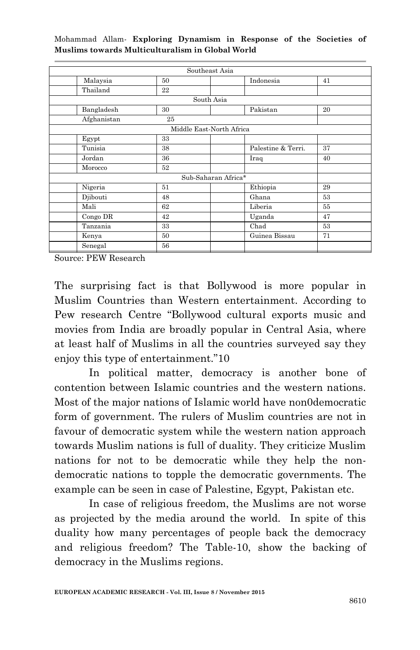|             | Southeast Asia           |                     |    |  |  |  |  |  |
|-------------|--------------------------|---------------------|----|--|--|--|--|--|
| Malaysia    | 50                       | Indonesia           | 41 |  |  |  |  |  |
| Thailand    | 22                       |                     |    |  |  |  |  |  |
|             | South Asia               |                     |    |  |  |  |  |  |
| Bangladesh  | 30                       | Pakistan            | 20 |  |  |  |  |  |
| Afghanistan | 25                       |                     |    |  |  |  |  |  |
|             | Middle East-North Africa |                     |    |  |  |  |  |  |
| Egypt       | 33                       |                     |    |  |  |  |  |  |
| Tunisia     | 38                       | Palestine & Terri.  | 37 |  |  |  |  |  |
| Jordan      | 36                       | Iraq                | 40 |  |  |  |  |  |
| Morocco     | 52                       |                     |    |  |  |  |  |  |
|             |                          | Sub-Saharan Africa* |    |  |  |  |  |  |
| Nigeria     | 51                       | Ethiopia            | 29 |  |  |  |  |  |
| Djibouti    | 48                       | Ghana               | 53 |  |  |  |  |  |
| Mali        | 62                       | Liberia             | 55 |  |  |  |  |  |
| Congo DR    | 42                       | Uganda              | 47 |  |  |  |  |  |
| Tanzania    | 33                       | Chad                | 53 |  |  |  |  |  |
| Kenya       | 50                       | Guinea Bissau       | 71 |  |  |  |  |  |
| Senegal     | 56                       |                     |    |  |  |  |  |  |

Source: PEW Research

The surprising fact is that Bollywood is more popular in Muslim Countries than Western entertainment. According to Pew research Centre "Bollywood cultural exports music and movies from India are broadly popular in Central Asia, where at least half of Muslims in all the countries surveyed say they enjoy this type of entertainment."10

In political matter, democracy is another bone of contention between Islamic countries and the western nations. Most of the major nations of Islamic world have non0democratic form of government. The rulers of Muslim countries are not in favour of democratic system while the western nation approach towards Muslim nations is full of duality. They criticize Muslim nations for not to be democratic while they help the nondemocratic nations to topple the democratic governments. The example can be seen in case of Palestine, Egypt, Pakistan etc.

In case of religious freedom, the Muslims are not worse as projected by the media around the world. In spite of this duality how many percentages of people back the democracy and religious freedom? The Table-10, show the backing of democracy in the Muslims regions.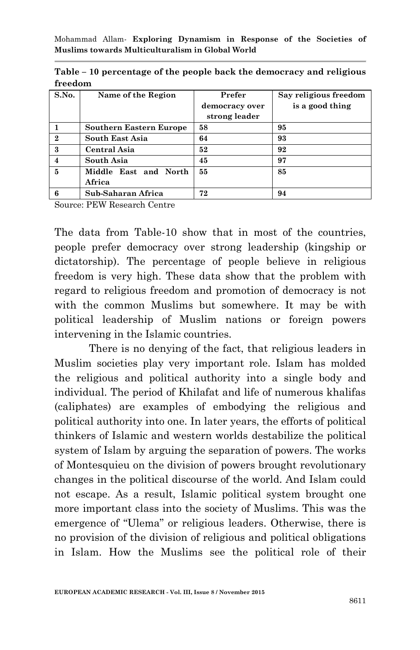| S.No.                      | Name of the Region             | Prefer         | Say religious freedom |
|----------------------------|--------------------------------|----------------|-----------------------|
|                            |                                | democracy over | is a good thing       |
|                            |                                | strong leader  |                       |
|                            | <b>Southern Eastern Europe</b> | 58             | 95                    |
| $\mathbf{2}$               | South East Asia                | 64             | 93                    |
| $\boldsymbol{\mathcal{S}}$ | Central Asia                   | 52             | 92                    |
| $\overline{\bf{4}}$        | South Asia                     | 45             | 97                    |
| 5                          | Middle East and North          | 55             | 85                    |
|                            | Africa                         |                |                       |
| 6                          | Sub-Saharan Africa             | 72             | 94                    |

**Table – 10 percentage of the people back the democracy and religious freedom**

Source: PEW Research Centre

The data from Table-10 show that in most of the countries, people prefer democracy over strong leadership (kingship or dictatorship). The percentage of people believe in religious freedom is very high. These data show that the problem with regard to religious freedom and promotion of democracy is not with the common Muslims but somewhere. It may be with political leadership of Muslim nations or foreign powers intervening in the Islamic countries.

There is no denying of the fact, that religious leaders in Muslim societies play very important role. Islam has molded the religious and political authority into a single body and individual. The period of Khilafat and life of numerous khalifas (caliphates) are examples of embodying the religious and political authority into one. In later years, the efforts of political thinkers of Islamic and western worlds destabilize the political system of Islam by arguing the separation of powers. The works of Montesquieu on the division of powers brought revolutionary changes in the political discourse of the world. And Islam could not escape. As a result, Islamic political system brought one more important class into the society of Muslims. This was the emergence of "Ulema" or religious leaders. Otherwise, there is no provision of the division of religious and political obligations in Islam. How the Muslims see the political role of their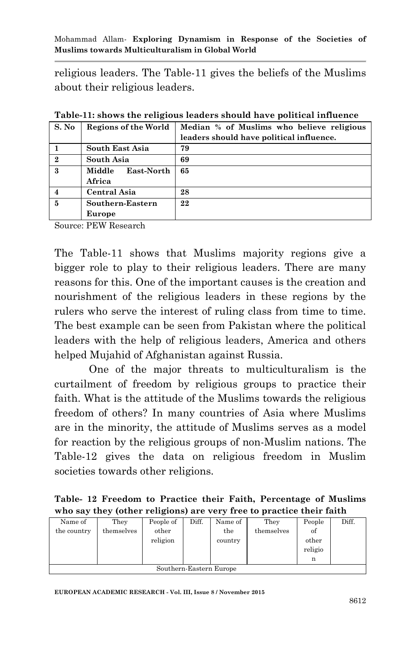religious leaders. The Table-11 gives the beliefs of the Muslims about their religious leaders.

| S. No                      | Regions of the World | Median % of Muslims who believe religious |
|----------------------------|----------------------|-------------------------------------------|
|                            |                      | leaders should have political influence.  |
|                            | South East Asia      | 79                                        |
| $\bf{2}$                   | South Asia           | 69                                        |
| $\boldsymbol{\mathcal{S}}$ | East-North<br>Middle | 65                                        |
|                            | Africa               |                                           |
|                            | Central Asia         | 28                                        |
| 5                          | Southern-Eastern     | 22                                        |
|                            | Europe               |                                           |

**Table-11: shows the religious leaders should have political influence**

Source: PEW Research

The Table-11 shows that Muslims majority regions give a bigger role to play to their religious leaders. There are many reasons for this. One of the important causes is the creation and nourishment of the religious leaders in these regions by the rulers who serve the interest of ruling class from time to time. The best example can be seen from Pakistan where the political leaders with the help of religious leaders, America and others helped Mujahid of Afghanistan against Russia.

One of the major threats to multiculturalism is the curtailment of freedom by religious groups to practice their faith. What is the attitude of the Muslims towards the religious freedom of others? In many countries of Asia where Muslims are in the minority, the attitude of Muslims serves as a model for reaction by the religious groups of non-Muslim nations. The Table-12 gives the data on religious freedom in Muslim societies towards other religions.

|  |  |  | Table- 12 Freedom to Practice their Faith, Percentage of Muslims     |  |
|--|--|--|----------------------------------------------------------------------|--|
|  |  |  | who say they (other religions) are very free to practice their faith |  |

| Name of                 | They       | People of | Diff. | Name of | They       | People  | Diff. |  |
|-------------------------|------------|-----------|-------|---------|------------|---------|-------|--|
| the country             | themselves | other     |       | the     | themselves | of      |       |  |
|                         |            | religion  |       | country |            | other   |       |  |
|                         |            |           |       |         |            | religio |       |  |
| n                       |            |           |       |         |            |         |       |  |
| Southern-Eastern Europe |            |           |       |         |            |         |       |  |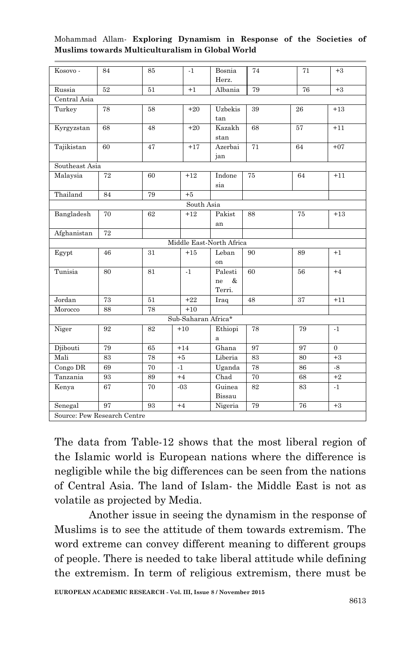| Kosovo -                    | 84 | 85 | $-1$                     | Bosnia       | 74              | 71 | $+3$     |
|-----------------------------|----|----|--------------------------|--------------|-----------------|----|----------|
|                             |    |    |                          | Herz.        |                 |    |          |
| Russia                      | 52 | 51 | $+1$                     | Albania      | 79              | 76 | $+3$     |
| Central Asia                |    |    |                          |              |                 |    |          |
| Turkey                      | 78 | 58 | $+20$                    | Uzbekis      | 39              | 26 | $+13$    |
|                             |    |    |                          | tan          |                 |    |          |
| Kyrgyzstan                  | 68 | 48 | $+20$                    | Kazakh       | 68              | 57 | $+11$    |
|                             |    |    |                          | stan         |                 |    |          |
| Tajikistan                  | 60 | 47 | $+17$                    | Azerbai      | $\overline{71}$ | 64 | $+07$    |
|                             |    |    |                          | jan          |                 |    |          |
| Southeast Asia              |    |    |                          |              |                 |    |          |
| Malaysia                    | 72 | 60 | $+12$                    | Indone       | 75              | 64 | $+11$    |
|                             |    |    |                          | sia          |                 |    |          |
| Thailand                    | 84 | 79 | $+5$                     |              |                 |    |          |
|                             |    |    | South Asia               |              |                 |    |          |
| Bangladesh                  | 70 | 62 | $+12$                    | Pakist       | 88              | 75 | $+13$    |
|                             |    |    |                          | an           |                 |    |          |
| Afghanistan                 | 72 |    |                          |              |                 |    |          |
|                             |    |    | Middle East-North Africa |              |                 |    |          |
| Egypt                       | 46 | 31 | $+15$                    | Leban        | 90              | 89 | $+1$     |
|                             |    |    |                          | on           |                 |    |          |
| Tunisia                     | 80 | 81 | $-1$                     | Palesti      | 60              | 56 | $+4$     |
|                             |    |    |                          | &<br>ne      |                 |    |          |
|                             |    |    |                          | Terri.       |                 |    |          |
| Jordan                      | 73 | 51 | $+22$                    | Iraq         | 48              | 37 | $+11$    |
| Morocco                     | 88 | 78 | $+10$                    |              |                 |    |          |
|                             |    |    | Sub-Saharan Africa*      |              |                 |    |          |
| Niger                       | 92 | 82 | $+10$                    | Ethiopi      | 78              | 79 | $-1$     |
|                             |    |    |                          | $\mathbf{a}$ |                 |    |          |
| Djibouti                    | 79 | 65 | $+14$                    | Ghana        | 97              | 97 | $\Omega$ |
| Mali                        | 83 | 78 | $+5$                     | Liberia      | 83              | 80 | $+3$     |
| Congo DR                    | 69 | 70 | $-1$                     | Uganda       | 78              | 86 | $-8$     |
| Tanzania                    | 93 | 89 | $+4$                     | Chad         | 70              | 68 | $+2$     |
| Kenya                       | 67 | 70 | $-03$                    | Guinea       | 82              | 83 | $-1$     |
|                             |    |    |                          | Bissau       |                 |    |          |
| Senegal                     | 97 | 93 | $+4$                     | Nigeria      | 79              | 76 | $+3$     |
| Source: Pew Research Centre |    |    |                          |              |                 |    |          |

The data from Table-12 shows that the most liberal region of the Islamic world is European nations where the difference is negligible while the big differences can be seen from the nations of Central Asia. The land of Islam- the Middle East is not as volatile as projected by Media.

Another issue in seeing the dynamism in the response of Muslims is to see the attitude of them towards extremism. The word extreme can convey different meaning to different groups of people. There is needed to take liberal attitude while defining the extremism. In term of religious extremism, there must be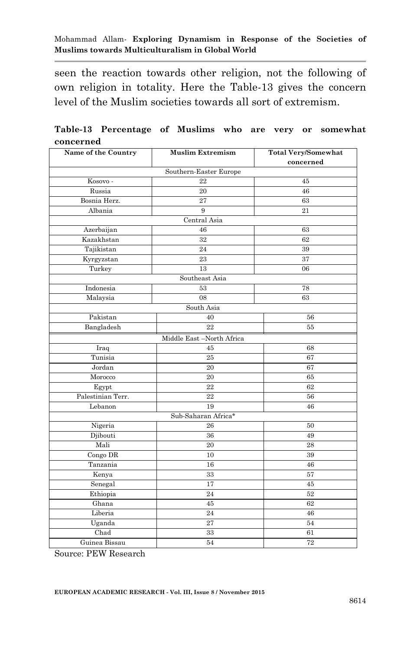seen the reaction towards other religion, not the following of own religion in totality. Here the Table-13 gives the concern level of the Muslim societies towards all sort of extremism.

|           | Table-13 Percentage of Muslims who are very or somewhat |  |  |  |  |
|-----------|---------------------------------------------------------|--|--|--|--|
| concerned |                                                         |  |  |  |  |

| Name of the Country | <b>Muslim Extremism</b>  |           |
|---------------------|--------------------------|-----------|
|                     |                          | concerned |
|                     | Southern-Easter Europe   |           |
| Kosovo-             | 22                       | 45        |
| Russia              | 20                       | 46        |
| Bosnia Herz.        | 27                       | 63        |
| Albania             | 9                        | 21        |
|                     | Central Asia             |           |
| Azerbaijan          | 46                       | 63        |
| Kazakhstan          | 32                       | 62        |
| Tajikistan          | 24                       | 39        |
| Kyrgyzstan          | 23                       | 37        |
| Turkey              | 13                       | 06        |
|                     | Southeast Asia           |           |
| Indonesia           | 53                       | 78        |
| Malaysia            | 08                       | 63        |
|                     | South Asia               |           |
| Pakistan            | 40                       | 56        |
| Bangladesh          | 22                       | 55        |
|                     | Middle East-North Africa |           |
| Iraq                | 45                       | 68        |
| Tunisia             | 25                       | 67        |
| Jordan              | 20                       | 67        |
| Morocco             | 20                       | 65        |
| Egypt               | $22\,$                   | 62        |
| Palestinian Terr.   | 22                       | 56        |
| Lebanon             | 19                       | 46        |
|                     | Sub-Saharan Africa*      |           |
| Nigeria             | 26                       | 50        |
| Djibouti            | 36                       | 49        |
| Mali                | 20                       | 28        |
| Congo DR            | 10                       | 39        |
| Tanzania            | 16                       | 46        |
| Kenya               | 33                       | 57        |
| Senegal             | 17                       | 45        |
| Ethiopia            | 24                       | 52        |
| Ghana               | 45                       | 62        |
| Liberia             | 24                       | 46        |
| Uganda              | 27                       | 54        |
| Chad                | 33                       | 61        |
| Guinea Bissau       | 54                       | 72        |

Source: PEW Research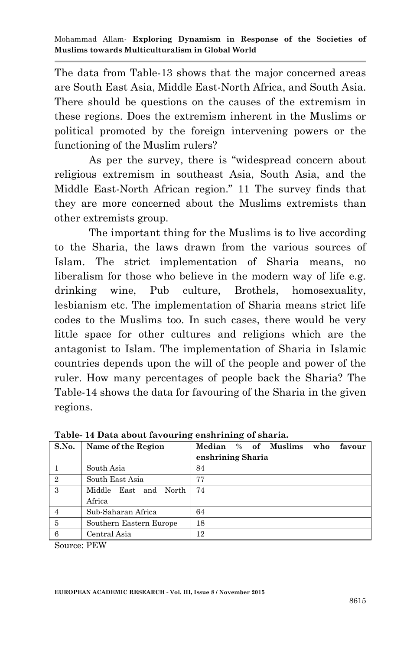The data from Table-13 shows that the major concerned areas are South East Asia, Middle East-North Africa, and South Asia. There should be questions on the causes of the extremism in these regions. Does the extremism inherent in the Muslims or political promoted by the foreign intervening powers or the functioning of the Muslim rulers?

As per the survey, there is "widespread concern about religious extremism in southeast Asia, South Asia, and the Middle East-North African region." 11 The survey finds that they are more concerned about the Muslims extremists than other extremists group.

The important thing for the Muslims is to live according to the Sharia, the laws drawn from the various sources of Islam. The strict implementation of Sharia means, no liberalism for those who believe in the modern way of life e.g. drinking wine, Pub culture, Brothels, homosexuality, lesbianism etc. The implementation of Sharia means strict life codes to the Muslims too. In such cases, there would be very little space for other cultures and religions which are the antagonist to Islam. The implementation of Sharia in Islamic countries depends upon the will of the people and power of the ruler. How many percentages of people back the Sharia? The Table-14 shows the data for favouring of the Sharia in the given regions.

| S.No. | Name of the Region      | Median % of Muslims<br>who<br>favour |
|-------|-------------------------|--------------------------------------|
|       |                         | enshrining Sharia                    |
|       | South Asia              | 84                                   |
| 2     | South East Asia         | 77                                   |
| 3     | Middle East and North   | 74                                   |
|       | Africa                  |                                      |
|       | Sub-Saharan Africa      | 64                                   |
| -5    | Southern Eastern Europe | 18                                   |
| 6     | Central Asia            | 12                                   |

**Table- 14 Data about favouring enshrining of sharia.** 

Source: PEW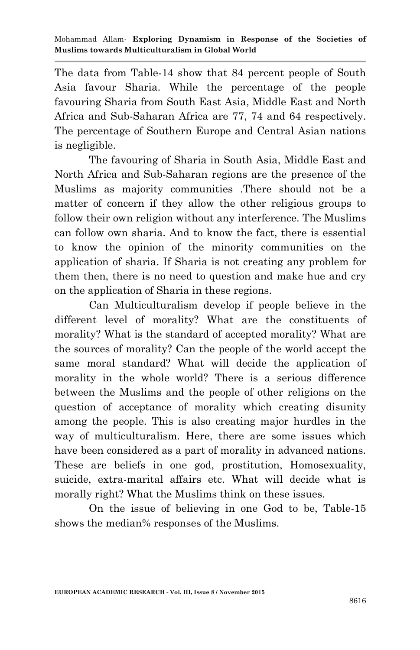The data from Table-14 show that 84 percent people of South Asia favour Sharia. While the percentage of the people favouring Sharia from South East Asia, Middle East and North Africa and Sub-Saharan Africa are 77, 74 and 64 respectively. The percentage of Southern Europe and Central Asian nations is negligible.

The favouring of Sharia in South Asia, Middle East and North Africa and Sub-Saharan regions are the presence of the Muslims as majority communities .There should not be a matter of concern if they allow the other religious groups to follow their own religion without any interference. The Muslims can follow own sharia. And to know the fact, there is essential to know the opinion of the minority communities on the application of sharia. If Sharia is not creating any problem for them then, there is no need to question and make hue and cry on the application of Sharia in these regions.

Can Multiculturalism develop if people believe in the different level of morality? What are the constituents of morality? What is the standard of accepted morality? What are the sources of morality? Can the people of the world accept the same moral standard? What will decide the application of morality in the whole world? There is a serious difference between the Muslims and the people of other religions on the question of acceptance of morality which creating disunity among the people. This is also creating major hurdles in the way of multiculturalism. Here, there are some issues which have been considered as a part of morality in advanced nations. These are beliefs in one god, prostitution, Homosexuality, suicide, extra-marital affairs etc. What will decide what is morally right? What the Muslims think on these issues.

On the issue of believing in one God to be, Table-15 shows the median% responses of the Muslims.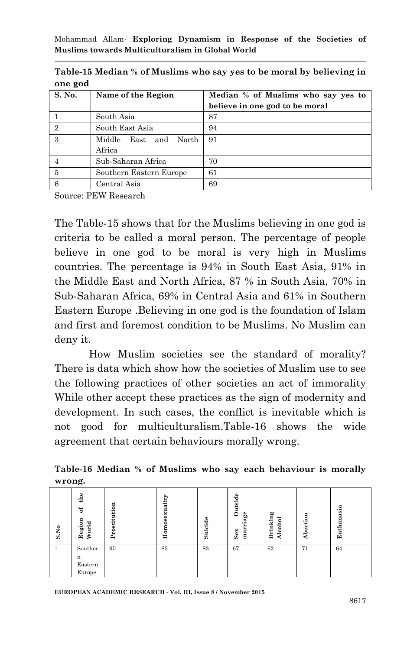| <b>ULLE</b> guu |                                   |                                    |  |  |  |  |
|-----------------|-----------------------------------|------------------------------------|--|--|--|--|
| S. No.          | Name of the Region                | Median % of Muslims who say yes to |  |  |  |  |
|                 |                                   | believe in one god to be moral     |  |  |  |  |
|                 | South Asia                        | 87                                 |  |  |  |  |
| $\mathfrak{D}$  | South East Asia                   | 94                                 |  |  |  |  |
| 3               | Middle<br>and North<br>$\rm East$ | 91                                 |  |  |  |  |
|                 | Africa                            |                                    |  |  |  |  |
|                 | Sub-Saharan Africa                | 70                                 |  |  |  |  |
| 5               | Southern Eastern Europe           | 61                                 |  |  |  |  |
| 6               | Central Asia                      | 69                                 |  |  |  |  |

**Table-15 Median % of Muslims who say yes to be moral by believing in one god**

Source: PEW Research

The Table-15 shows that for the Muslims believing in one god is criteria to be called a moral person. The percentage of people believe in one god to be moral is very high in Muslims countries. The percentage is 94% in South East Asia, 91% in the Middle East and North Africa, 87 % in South Asia, 70% in Sub-Saharan Africa, 69% in Central Asia and 61% in Southern Eastern Europe .Believing in one god is the foundation of Islam and first and foremost condition to be Muslims. No Muslim can deny it.

How Muslim societies see the standard of morality? There is data which show how the societies of Muslim use to see the following practices of other societies an act of immorality While other accept these practices as the sign of modernity and development. In such cases, the conflict is inevitable which is not good for multiculturalism.Table-16 shows the wide agreement that certain behaviours morally wrong.

#### **Table-16 Median % of Muslims who say each behaviour is morally wrong.**

| S.No | the<br>ិ<br>Region<br>World       | Prostitution | osexuality<br>Home | Suicide | Outside<br>å,<br>α<br>Sex<br>mar | Drinking<br>Alcohol | ortion<br>å | asia<br>ä<br>Euth |
|------|-----------------------------------|--------------|--------------------|---------|----------------------------------|---------------------|-------------|-------------------|
|      | Souther<br>n<br>Eastern<br>Europe | 90           | 83                 | 83      | 67                               | 62                  | 71          | 64                |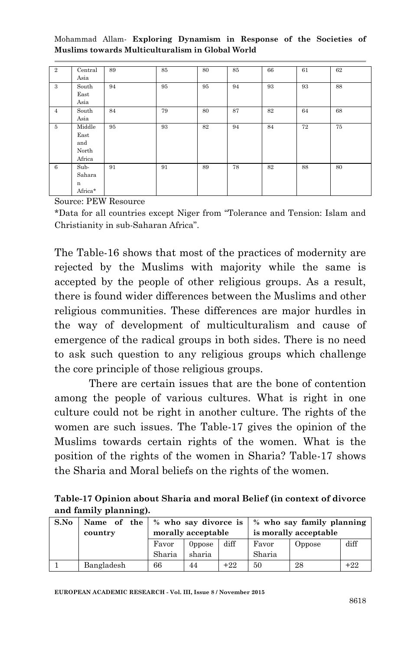| $\overline{2}$ | Central<br>Asia                          | 89 | 85 | 80 | 85 | 66 | 61 | 62 |
|----------------|------------------------------------------|----|----|----|----|----|----|----|
| 3              | South<br>East<br>Asia                    | 94 | 95 | 95 | 94 | 93 | 93 | 88 |
| $\overline{4}$ | South<br>Asia                            | 84 | 79 | 80 | 87 | 82 | 64 | 68 |
| 5              | Middle<br>East<br>and<br>North<br>Africa | 95 | 93 | 82 | 94 | 84 | 72 | 75 |
| 6              | Sub-<br>Sahara<br>n<br>Africa*           | 91 | 91 | 89 | 78 | 82 | 88 | 80 |

Source: PEW Resource

\*Data for all countries except Niger from "Tolerance and Tension: Islam and Christianity in sub-Saharan Africa".

The Table-16 shows that most of the practices of modernity are rejected by the Muslims with majority while the same is accepted by the people of other religious groups. As a result, there is found wider differences between the Muslims and other religious communities. These differences are major hurdles in the way of development of multiculturalism and cause of emergence of the radical groups in both sides. There is no need to ask such question to any religious groups which challenge the core principle of those religious groups.

There are certain issues that are the bone of contention among the people of various cultures. What is right in one culture could not be right in another culture. The rights of the women are such issues. The Table-17 gives the opinion of the Muslims towards certain rights of the women. What is the position of the rights of the women in Sharia? Table-17 shows the Sharia and Moral beliefs on the rights of the women.

| Table-17 Opinion about Sharia and moral Belief (in context of divorce |  |
|-----------------------------------------------------------------------|--|
| and family planning).                                                 |  |

| S.No |            | Name of the $\frac{1}{2}$ who say divorce is |               |                       |        | % who say family planning |       |
|------|------------|----------------------------------------------|---------------|-----------------------|--------|---------------------------|-------|
|      | country    | morally acceptable                           |               | is morally acceptable |        |                           |       |
|      |            | Favor                                        | <b>Oppose</b> | diff                  | Favor  | Oppose                    | diff  |
|      |            | Sharia                                       | sharia        |                       | Sharia |                           |       |
|      | Bangladesh | 66                                           | 44            | $+22$                 | 50     | 28                        | $+22$ |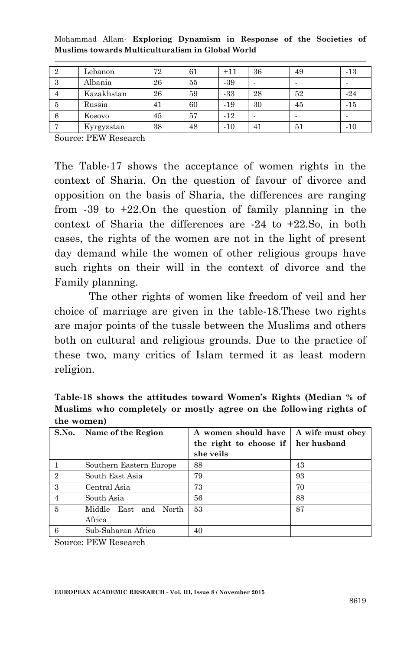| 2 | Lebanon    | 72 | 61 | $+11$ | 36 | 49 | -13   |
|---|------------|----|----|-------|----|----|-------|
| 3 | Albania    | 26 | 55 | $-39$ |    |    |       |
|   | Kazakhstan | 26 | 59 | -33   | 28 | 52 | $-24$ |
| 5 | Russia     | 41 | 60 | $-19$ | 30 | 45 | $-15$ |
| 6 | Kosovo     | 45 | 57 | $-12$ |    |    |       |
|   | Kyrgyzstan | 38 | 48 | $-10$ | 41 | 51 | $-10$ |

Mohammad Allam*-* **Exploring Dynamism in Response of the Societies of Muslims towards Multiculturalism in Global World**

Source: PEW Research

The Table-17 shows the acceptance of women rights in the context of Sharia. On the question of favour of divorce and opposition on the basis of Sharia, the differences are ranging from -39 to +22.On the question of family planning in the context of Sharia the differences are -24 to +22.So, in both cases, the rights of the women are not in the light of present day demand while the women of other religious groups have such rights on their will in the context of divorce and the Family planning.

The other rights of women like freedom of veil and her choice of marriage are given in the table-18.These two rights are major points of the tussle between the Muslims and others both on cultural and religious grounds. Due to the practice of these two, many critics of Islam termed it as least modern religion.

**Table-18 shows the attitudes toward Women's Rights (Median % of Muslims who completely or mostly agree on the following rights of the women)**

| S.No.          | Name of the Region      | A women should have<br>the right to choose if<br>she veils | A wife must obey<br>her husband |
|----------------|-------------------------|------------------------------------------------------------|---------------------------------|
|                | Southern Eastern Europe | 88                                                         | 43                              |
| $\overline{2}$ | South East Asia         | 79                                                         | 93                              |
| 3              | Central Asia            | 73                                                         | 70                              |
|                | South Asia              | 56                                                         | 88                              |
| 5              | Middle East and North   | 53                                                         | 87                              |
|                | Africa                  |                                                            |                                 |
| 6              | Sub-Saharan Africa      | 40                                                         |                                 |

Source: PEW Research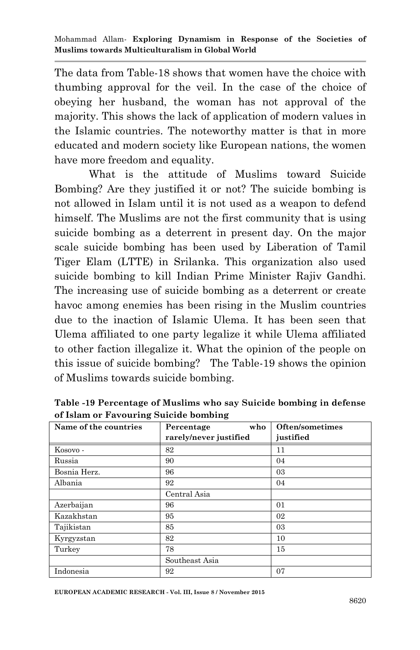The data from Table-18 shows that women have the choice with thumbing approval for the veil. In the case of the choice of obeying her husband, the woman has not approval of the majority. This shows the lack of application of modern values in the Islamic countries. The noteworthy matter is that in more educated and modern society like European nations, the women have more freedom and equality.

What is the attitude of Muslims toward Suicide Bombing? Are they justified it or not? The suicide bombing is not allowed in Islam until it is not used as a weapon to defend himself. The Muslims are not the first community that is using suicide bombing as a deterrent in present day. On the major scale suicide bombing has been used by Liberation of Tamil Tiger Elam (LTTE) in Srilanka. This organization also used suicide bombing to kill Indian Prime Minister Rajiv Gandhi. The increasing use of suicide bombing as a deterrent or create havoc among enemies has been rising in the Muslim countries due to the inaction of Islamic Ulema. It has been seen that Ulema affiliated to one party legalize it while Ulema affiliated to other faction illegalize it. What the opinion of the people on this issue of suicide bombing? The Table-19 shows the opinion of Muslims towards suicide bombing.

| Name of the countries | who<br>Percentage      | Often/sometimes |
|-----------------------|------------------------|-----------------|
|                       | rarely/never justified | justified       |
| Kosovo -              | 82                     | 11              |
| Russia                | 90                     | 04              |
| Bosnia Herz.          | 96                     | 03              |
| Albania               | 92                     | 04              |
|                       | Central Asia           |                 |
| Azerbaijan            | 96                     | 01              |
| Kazakhstan            | 95                     | 02              |
| Tajikistan            | 85                     | 03              |
| Kyrgyzstan            | 82                     | 10              |
| Turkey                | 78                     | 15              |
|                       | Southeast Asia         |                 |
| Indonesia             | 92                     | 07              |

**Table -19 Percentage of Muslims who say Suicide bombing in defense of Islam or Favouring Suicide bombing**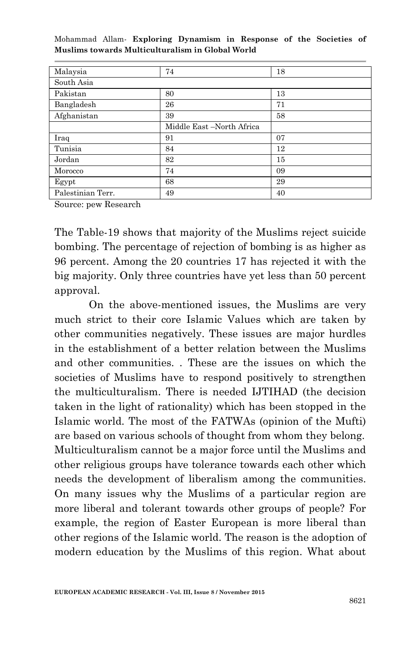| Malaysia          | 74                        | 18 |
|-------------------|---------------------------|----|
| South Asia        |                           |    |
| Pakistan          | 80                        | 13 |
| Bangladesh        | 26                        | 71 |
| Afghanistan       | 39                        | 58 |
|                   | Middle East -North Africa |    |
| Iraq              | 91                        | 07 |
| Tunisia           | 84                        | 12 |
| Jordan            | 82                        | 15 |
| Morocco           | 74                        | 09 |
| Egypt             | 68                        | 29 |
| Palestinian Terr. | 49                        | 40 |

Source: pew Research

The Table-19 shows that majority of the Muslims reject suicide bombing. The percentage of rejection of bombing is as higher as 96 percent. Among the 20 countries 17 has rejected it with the big majority. Only three countries have yet less than 50 percent approval.

On the above-mentioned issues, the Muslims are very much strict to their core Islamic Values which are taken by other communities negatively. These issues are major hurdles in the establishment of a better relation between the Muslims and other communities. . These are the issues on which the societies of Muslims have to respond positively to strengthen the multiculturalism. There is needed IJTIHAD (the decision taken in the light of rationality) which has been stopped in the Islamic world. The most of the FATWAs (opinion of the Mufti) are based on various schools of thought from whom they belong. Multiculturalism cannot be a major force until the Muslims and other religious groups have tolerance towards each other which needs the development of liberalism among the communities. On many issues why the Muslims of a particular region are more liberal and tolerant towards other groups of people? For example, the region of Easter European is more liberal than other regions of the Islamic world. The reason is the adoption of modern education by the Muslims of this region. What about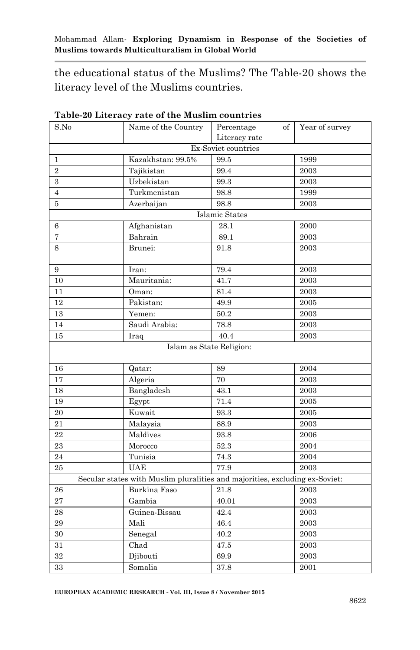the educational status of the Muslims? The Table-20 shows the literacy level of the Muslims countries.

| S.No           | Name of the Country                                                         | Percentage<br>$\mathrm{of}$ | Year of survey |
|----------------|-----------------------------------------------------------------------------|-----------------------------|----------------|
|                |                                                                             | Literacy rate               |                |
|                |                                                                             | Ex-Soviet countries         |                |
| $\mathbf{1}$   | Kazakhstan: 99.5%                                                           | 99.5                        | 1999           |
| $\overline{2}$ | Tajikistan                                                                  | 99.4                        | 2003           |
| $\,3$          | Uzbekistan                                                                  | 99.3                        | 2003           |
| $\overline{4}$ | Turkmenistan                                                                | 98.8                        | 1999           |
| 5              | Azerbaijan                                                                  | 98.8                        | 2003           |
|                |                                                                             | Islamic States              |                |
| 6              | Afghanistan                                                                 | 28.1                        | 2000           |
| 7              | Bahrain                                                                     | 89.1                        | $\,2003\,$     |
| 8              | Brunei:                                                                     | 91.8                        | 2003           |
| 9              | Iran:                                                                       | 79.4                        | 2003           |
| 10             | Mauritania:                                                                 | 41.7                        | 2003           |
| 11             | Oman:                                                                       | 81.4                        | 2003           |
| 12             | Pakistan:                                                                   | 49.9                        | 2005           |
| 13             | Yemen:                                                                      | 50.2                        | 2003           |
| 14             | Saudi Arabia:                                                               | 78.8                        | $\,2003\,$     |
| 15             | Iraq                                                                        | 40.4                        | 2003           |
|                | Islam as State Religion:                                                    |                             |                |
| 16             | Qatar:                                                                      | 89                          | 2004           |
| 17             | Algeria                                                                     | 70                          | 2003           |
| 18             | Bangladesh                                                                  | 43.1                        | 2003           |
| 19             | Egypt                                                                       | 71.4                        | 2005           |
| 20             | Kuwait                                                                      | 93.3                        | 2005           |
| 21             | Malaysia                                                                    | 88.9                        | 2003           |
| 22             | Maldives                                                                    | 93.8                        | 2006           |
| 23             | Morocco                                                                     | 52.3                        | 2004           |
| 24             | Tunisia                                                                     | 74.3                        | 2004           |
| 25             | <b>UAE</b>                                                                  | 77.9                        | 2003           |
|                | Secular states with Muslim pluralities and majorities, excluding ex-Soviet: |                             |                |
| 26             | Burkina Faso                                                                | 21.8                        | 2003           |
| 27             | Gambia                                                                      | 40.01                       | 2003           |
| $\bf{28}$      | Guinea-Bissau                                                               | 42.4                        | 2003           |
| 29             | Mali                                                                        | 46.4                        | $\sqrt{2003}$  |
| $30\,$         | Senegal                                                                     | 40.2                        | 2003           |
| 31             | Chad                                                                        | 47.5                        | 2003           |
| 32             | Djibouti                                                                    | 69.9                        | $\,2003\,$     |
| 33             | Somalia                                                                     | 37.8                        | $\,2001\,$     |

**Table-20 Literacy rate of the Muslim countries**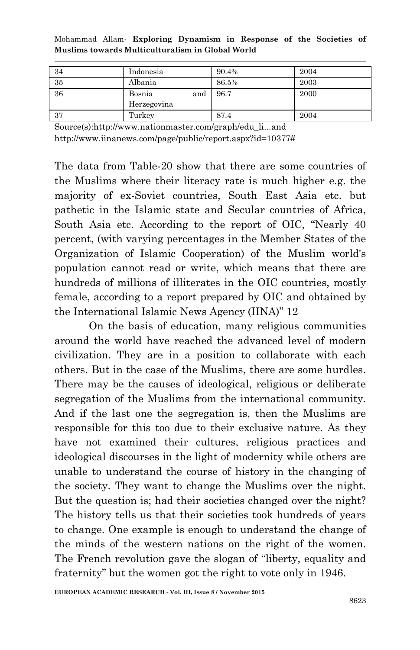| -34 | Indonesia     | 90.4% | 2004 |
|-----|---------------|-------|------|
| 35  | Albania       | 86.5% | 2003 |
| 36  | Bosnia<br>and | 96.7  | 2000 |
|     | Herzegovina   |       |      |
| -37 | Turkey        | 87.4  | 2004 |

Source(s):http://www.nationmaster.com/graph/edu\_li...and http://www.iinanews.com/page/public/report.aspx?id=10377#

The data from Table-20 show that there are some countries of the Muslims where their literacy rate is much higher e.g. the majority of ex-Soviet countries, South East Asia etc. but pathetic in the Islamic state and Secular countries of Africa, South Asia etc. According to the report of OIC, "Nearly 40 percent, (with varying percentages in the Member States of the Organization of Islamic Cooperation) of the Muslim world's population cannot read or write, which means that there are hundreds of millions of illiterates in the OIC countries, mostly female, according to a report prepared by OIC and obtained by the International Islamic News Agency (IINA)" 12

On the basis of education, many religious communities around the world have reached the advanced level of modern civilization. They are in a position to collaborate with each others. But in the case of the Muslims, there are some hurdles. There may be the causes of ideological, religious or deliberate segregation of the Muslims from the international community. And if the last one the segregation is, then the Muslims are responsible for this too due to their exclusive nature. As they have not examined their cultures, religious practices and ideological discourses in the light of modernity while others are unable to understand the course of history in the changing of the society. They want to change the Muslims over the night. But the question is; had their societies changed over the night? The history tells us that their societies took hundreds of years to change. One example is enough to understand the change of the minds of the western nations on the right of the women. The French revolution gave the slogan of "liberty, equality and fraternity" but the women got the right to vote only in 1946.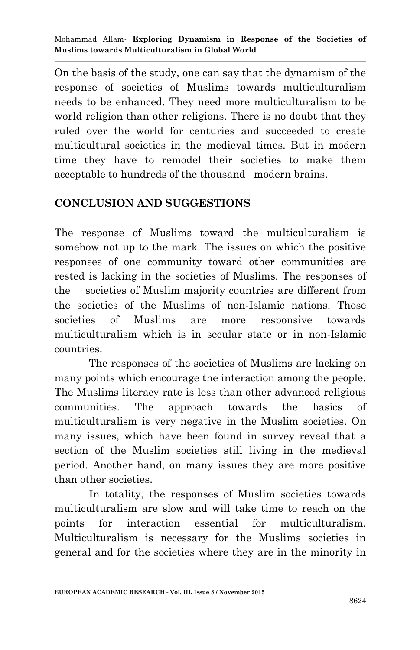On the basis of the study, one can say that the dynamism of the response of societies of Muslims towards multiculturalism needs to be enhanced. They need more multiculturalism to be world religion than other religions. There is no doubt that they ruled over the world for centuries and succeeded to create multicultural societies in the medieval times. But in modern time they have to remodel their societies to make them acceptable to hundreds of the thousand modern brains.

## **CONCLUSION AND SUGGESTIONS**

The response of Muslims toward the multiculturalism is somehow not up to the mark. The issues on which the positive responses of one community toward other communities are rested is lacking in the societies of Muslims. The responses of the societies of Muslim majority countries are different from the societies of the Muslims of non-Islamic nations. Those societies of Muslims are more responsive towards multiculturalism which is in secular state or in non-Islamic countries.

The responses of the societies of Muslims are lacking on many points which encourage the interaction among the people. The Muslims literacy rate is less than other advanced religious communities. The approach towards the basics of multiculturalism is very negative in the Muslim societies. On many issues, which have been found in survey reveal that a section of the Muslim societies still living in the medieval period. Another hand, on many issues they are more positive than other societies.

In totality, the responses of Muslim societies towards multiculturalism are slow and will take time to reach on the points for interaction essential for multiculturalism. Multiculturalism is necessary for the Muslims societies in general and for the societies where they are in the minority in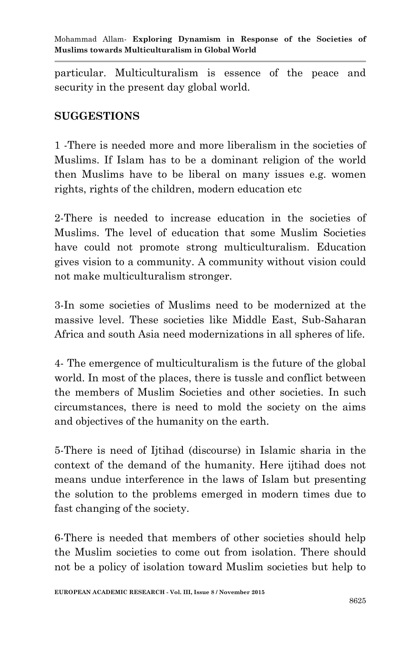particular. Multiculturalism is essence of the peace and security in the present day global world.

## **SUGGESTIONS**

1 -There is needed more and more liberalism in the societies of Muslims. If Islam has to be a dominant religion of the world then Muslims have to be liberal on many issues e.g. women rights, rights of the children, modern education etc

2-There is needed to increase education in the societies of Muslims. The level of education that some Muslim Societies have could not promote strong multiculturalism. Education gives vision to a community. A community without vision could not make multiculturalism stronger.

3-In some societies of Muslims need to be modernized at the massive level. These societies like Middle East, Sub-Saharan Africa and south Asia need modernizations in all spheres of life.

4- The emergence of multiculturalism is the future of the global world. In most of the places, there is tussle and conflict between the members of Muslim Societies and other societies. In such circumstances, there is need to mold the society on the aims and objectives of the humanity on the earth.

5-There is need of Ijtihad (discourse) in Islamic sharia in the context of the demand of the humanity. Here ijtihad does not means undue interference in the laws of Islam but presenting the solution to the problems emerged in modern times due to fast changing of the society.

6-There is needed that members of other societies should help the Muslim societies to come out from isolation. There should not be a policy of isolation toward Muslim societies but help to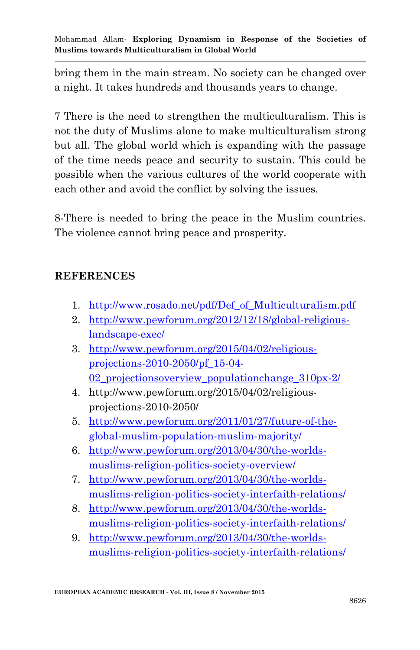bring them in the main stream. No society can be changed over a night. It takes hundreds and thousands years to change.

7 There is the need to strengthen the multiculturalism. This is not the duty of Muslims alone to make multiculturalism strong but all. The global world which is expanding with the passage of the time needs peace and security to sustain. This could be possible when the various cultures of the world cooperate with each other and avoid the conflict by solving the issues.

8-There is needed to bring the peace in the Muslim countries. The violence cannot bring peace and prosperity.

## **REFERENCES**

- 1. [http://www.rosado.net/pdf/Def\\_of\\_Multiculturalism.pdf](http://www.rosado.net/pdf/Def_of_Multiculturalism.pdf)
- 2. [http://www.pewforum.org/2012/12/18/global-religious](http://www.pewforum.org/2012/12/18/global-religious-landscape-exec/)[landscape-exec/](http://www.pewforum.org/2012/12/18/global-religious-landscape-exec/)
- 3. [http://www.pewforum.org/2015/04/02/religious](http://www.pewforum.org/2015/04/02/religious-projections-2010-2050/pf_15-04-02_projectionsoverview_populationchange_310px-2/)[projections-2010-2050/pf\\_15-04-](http://www.pewforum.org/2015/04/02/religious-projections-2010-2050/pf_15-04-02_projectionsoverview_populationchange_310px-2/) [02\\_projectionsoverview\\_populationchange\\_310px-2/](http://www.pewforum.org/2015/04/02/religious-projections-2010-2050/pf_15-04-02_projectionsoverview_populationchange_310px-2/)
- 4. http://www.pewforum.org/2015/04/02/religiousprojections-2010-2050/
- 5. [http://www.pewforum.org/2011/01/27/future-of-the](http://www.pewforum.org/2011/01/27/future-of-the-global-muslim-population-muslim-majority/)[global-muslim-population-muslim-majority/](http://www.pewforum.org/2011/01/27/future-of-the-global-muslim-population-muslim-majority/)
- 6. [http://www.pewforum.org/2013/04/30/the-worlds](http://www.pewforum.org/2013/04/30/the-worlds-muslims-religion-politics-society-overview/)[muslims-religion-politics-society-overview/](http://www.pewforum.org/2013/04/30/the-worlds-muslims-religion-politics-society-overview/)
- 7. [http://www.pewforum.org/2013/04/30/the-worlds](http://www.pewforum.org/2013/04/30/the-worlds-muslims-religion-politics-society-interfaith-relations/)[muslims-religion-politics-society-interfaith-relations/](http://www.pewforum.org/2013/04/30/the-worlds-muslims-religion-politics-society-interfaith-relations/)
- 8. [http://www.pewforum.org/2013/04/30/the-worlds](http://www.pewforum.org/2013/04/30/the-worlds-muslims-religion-politics-society-interfaith-relations/)[muslims-religion-politics-society-interfaith-relations/](http://www.pewforum.org/2013/04/30/the-worlds-muslims-religion-politics-society-interfaith-relations/)
- 9. [http://www.pewforum.org/2013/04/30/the-worlds](http://www.pewforum.org/2013/04/30/the-worlds-muslims-religion-politics-society-interfaith-relations/)[muslims-religion-politics-society-interfaith-relations/](http://www.pewforum.org/2013/04/30/the-worlds-muslims-religion-politics-society-interfaith-relations/)